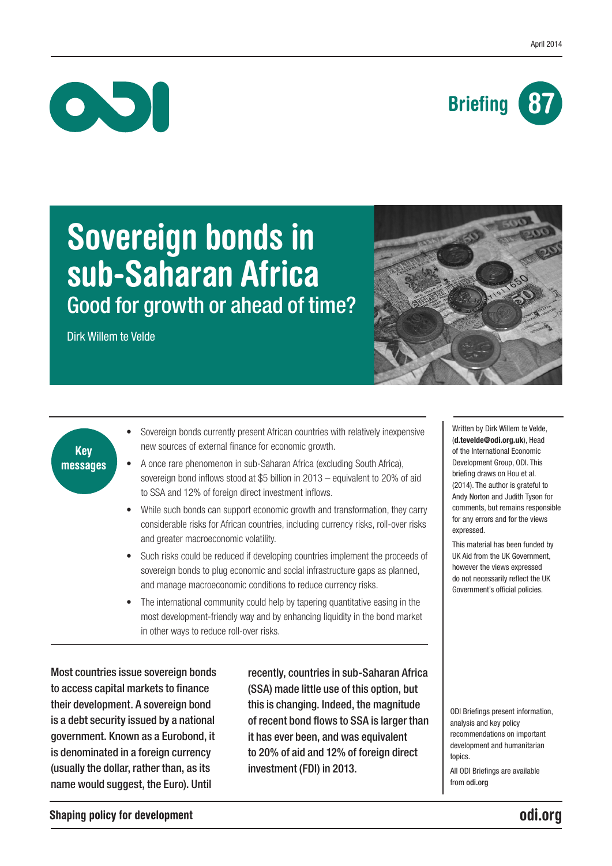



# Sovereign bonds in sub-Saharan Africa Good for growth or ahead of time?

Dirk Willem te Velde



## Key messages

- Sovereign bonds currently present African countries with relatively inexpensive new sources of external finance for economic growth.
- A once rare phenomenon in sub-Saharan Africa (excluding South Africa), sovereign bond inflows stood at \$5 billion in 2013 – equivalent to 20% of aid to SSA and 12% of foreign direct investment inflows.
- While such bonds can support economic growth and transformation, they carry considerable risks for African countries, including currency risks, roll-over risks and greater macroeconomic volatility.
- Such risks could be reduced if developing countries implement the proceeds of sovereign bonds to plug economic and social infrastructure gaps as planned. and manage macroeconomic conditions to reduce currency risks.
- The international community could help by tapering quantitative easing in the most development-friendly way and by enhancing liquidity in the bond market in other ways to reduce roll-over risks.

Most countries issue sovereign bonds to access capital markets to finance their development. A sovereign bond is a debt security issued by a national government. Known as a Eurobond, it is denominated in a foreign currency (usually the dollar, rather than, as its name would suggest, the Euro). Until

recently, countries in sub-Saharan Africa (SSA) made little use of this option, but this is changing. Indeed, the magnitude of recent bond flows to SSA is larger than it has ever been, and was equivalent to 20% of aid and 12% of foreign direct investment (FDI) in 2013.

Written by Dirk Willem te Velde, ([d.tevelde@odi.org.u](mailto:d.tevelde@odi.org.uk)k), Head of the International Economic Development Group, ODI. This briefing draws on Hou et al. (2014). The author is grateful to Andy Norton and Judith Tyson for comments, but remains responsible for any errors and for the views expressed.

This material has been funded by UK Aid from the UK Government, however the views expressed do not necessarily reflect the UK Government's official policies.

ODI Briefings present information, analysis and key policy recommendations on important development and humanitarian topics.

All ODI Briefings are available from odi.org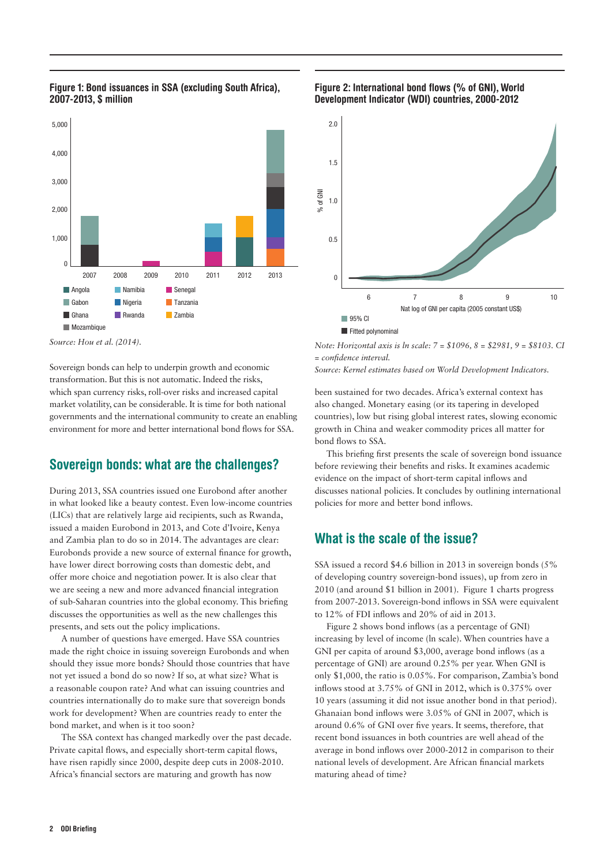

#### Figure 1: Bond issuances in SSA (excluding South Africa), 2007-2013, \$ million

*Source: Hou et al. (2014).*

Sovereign bonds can help to underpin growth and economic transformation. But this is not automatic. Indeed the risks, which span currency risks, roll-over risks and increased capital market volatility, can be considerable. It is time for both national governments and the international community to create an enabling environment for more and better international bond flows for SSA.

## Sovereign bonds: what are the challenges?

During 2013, SSA countries issued one Eurobond after another in what looked like a beauty contest. Even low-income countries (LICs) that are relatively large aid recipients, such as Rwanda, issued a maiden Eurobond in 2013, and Cote d'Ivoire, Kenya and Zambia plan to do so in 2014. The advantages are clear: Eurobonds provide a new source of external finance for growth, have lower direct borrowing costs than domestic debt, and offer more choice and negotiation power. It is also clear that we are seeing a new and more advanced financial integration of sub-Saharan countries into the global economy. This briefing discusses the opportunities as well as the new challenges this presents, and sets out the policy implications.

A number of questions have emerged. Have SSA countries made the right choice in issuing sovereign Eurobonds and when should they issue more bonds? Should those countries that have not yet issued a bond do so now? If so, at what size? What is a reasonable coupon rate? And what can issuing countries and countries internationally do to make sure that sovereign bonds work for development? When are countries ready to enter the bond market, and when is it too soon?

The SSA context has changed markedly over the past decade. Private capital flows, and especially short-term capital flows, have risen rapidly since 2000, despite deep cuts in 2008-2010. Africa's financial sectors are maturing and growth has now

#### Figure 2: International bond flows (% of GNI), World Development Indicator (WDI) countries, 2000-2012



*Note: Horizontal axis is ln scale: 7 = \$1096, 8 = \$2981, 9 = \$8103. CI = confidence interval. Source: Kernel estimates based on World Development Indicators.* 

been sustained for two decades. Africa's external context has also changed. Monetary easing (or its tapering in developed countries), low but rising global interest rates, slowing economic growth in China and weaker commodity prices all matter for bond flows to SSA.

This briefing first presents the scale of sovereign bond issuance before reviewing their benefits and risks. It examines academic evidence on the impact of short-term capital inflows and discusses national policies. It concludes by outlining international policies for more and better bond inflows.

## What is the scale of the issue?

SSA issued a record \$4.6 billion in 2013 in sovereign bonds (5% of developing country sovereign-bond issues), up from zero in 2010 (and around \$1 billion in 2001). Figure 1 charts progress from 2007-2013. Sovereign-bond inflows in SSA were equivalent to 12% of FDI inflows and 20% of aid in 2013.

Figure 2 shows bond inflows (as a percentage of GNI) increasing by level of income (ln scale). When countries have a GNI per capita of around \$3,000, average bond inflows (as a percentage of GNI) are around 0.25% per year. When GNI is only \$1,000, the ratio is 0.05%. For comparison, Zambia's bond inflows stood at 3.75% of GNI in 2012, which is 0.375% over 10 years (assuming it did not issue another bond in that period). Ghanaian bond inflows were 3.05% of GNI in 2007, which is around 0.6% of GNI over five years. It seems, therefore, that recent bond issuances in both countries are well ahead of the average in bond inflows over 2000-2012 in comparison to their national levels of development. Are African financial markets maturing ahead of time?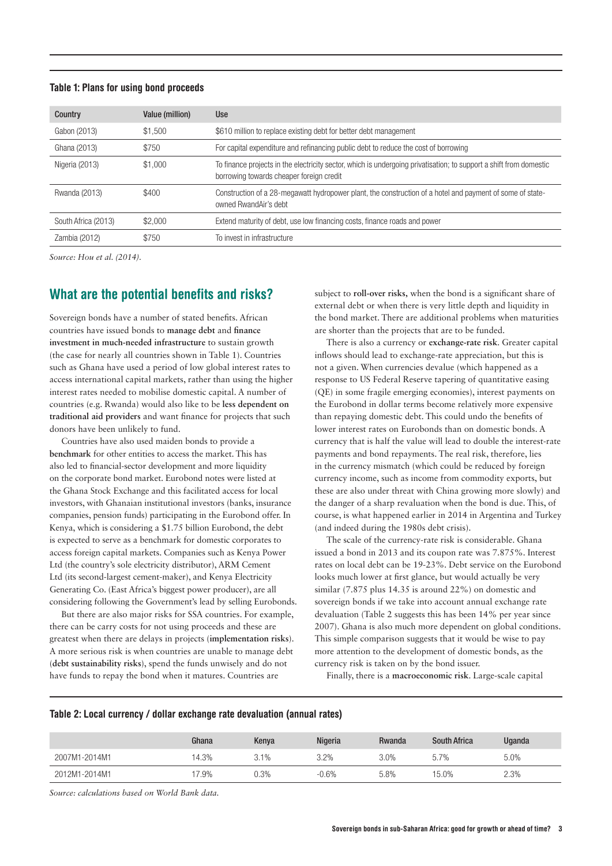#### Table 1: Plans for using bond proceeds

| Country             | Value (million) | <b>Use</b>                                                                                                                                                     |
|---------------------|-----------------|----------------------------------------------------------------------------------------------------------------------------------------------------------------|
| Gabon (2013)        | \$1,500         | \$610 million to replace existing debt for better debt management                                                                                              |
| Ghana (2013)        | \$750           | For capital expenditure and refinancing public debt to reduce the cost of borrowing                                                                            |
| Nigeria (2013)      | \$1,000         | To finance projects in the electricity sector, which is undergoing privatisation; to support a shift from domestic<br>borrowing towards cheaper foreign credit |
| Rwanda (2013)       | \$400           | Construction of a 28-megawatt hydropower plant, the construction of a hotel and payment of some of state-<br>owned RwandAir's debt                             |
| South Africa (2013) | \$2,000         | Extend maturity of debt, use low financing costs, finance roads and power                                                                                      |
| Zambia (2012)       | \$750           | To invest in infrastructure                                                                                                                                    |

*Source: Hou et al. (2014).*

## What are the potential benefits and risks?

Sovereign bonds have a number of stated benefits. African countries have issued bonds to **manage debt** and **finance investment in much-needed infrastructure** to sustain growth (the case for nearly all countries shown in Table 1). Countries such as Ghana have used a period of low global interest rates to access international capital markets, rather than using the higher interest rates needed to mobilise domestic capital. A number of countries (e.g. Rwanda) would also like to be **less dependent on traditional aid providers** and want finance for projects that such donors have been unlikely to fund.

Countries have also used maiden bonds to provide a **benchmark** for other entities to access the market. This has also led to financial-sector development and more liquidity on the corporate bond market. Eurobond notes were listed at the Ghana Stock Exchange and this facilitated access for local investors, with Ghanaian institutional investors (banks, insurance companies, pension funds) participating in the Eurobond offer. In Kenya, which is considering a \$1.75 billion Eurobond, the debt is expected to serve as a benchmark for domestic corporates to access foreign capital markets. Companies such as Kenya Power Ltd (the country's sole electricity distributor), ARM Cement Ltd (its second-largest cement-maker), and Kenya Electricity Generating Co. (East Africa's biggest power producer), are all considering following the Government's lead by selling Eurobonds.

But there are also major risks for SSA countries. For example, there can be carry costs for not using proceeds and these are greatest when there are delays in projects (**implementation risks**). A more serious risk is when countries are unable to manage debt (**debt sustainability risks**), spend the funds unwisely and do not have funds to repay the bond when it matures. Countries are

subject to **roll-over risks,** when the bond is a significant share of external debt or when there is very little depth and liquidity in the bond market. There are additional problems when maturities are shorter than the projects that are to be funded.

There is also a currency or **exchange-rate risk**. Greater capital inflows should lead to exchange-rate appreciation, but this is not a given. When currencies devalue (which happened as a response to US Federal Reserve tapering of quantitative easing (QE) in some fragile emerging economies), interest payments on the Eurobond in dollar terms become relatively more expensive than repaying domestic debt. This could undo the benefits of lower interest rates on Eurobonds than on domestic bonds. A currency that is half the value will lead to double the interest-rate payments and bond repayments. The real risk, therefore, lies in the currency mismatch (which could be reduced by foreign currency income, such as income from commodity exports, but these are also under threat with China growing more slowly) and the danger of a sharp revaluation when the bond is due. This, of course, is what happened earlier in 2014 in Argentina and Turkey (and indeed during the 1980s debt crisis).

The scale of the currency-rate risk is considerable. Ghana issued a bond in 2013 and its coupon rate was 7.875%. Interest rates on local debt can be 19-23%. Debt service on the Eurobond looks much lower at first glance, but would actually be very similar (7.875 plus 14.35 is around 22%) on domestic and sovereign bonds if we take into account annual exchange rate devaluation (Table 2 suggests this has been 14% per year since 2007). Ghana is also much more dependent on global conditions. This simple comparison suggests that it would be wise to pay more attention to the development of domestic bonds, as the currency risk is taken on by the bond issuer.

Finally, there is a **macroeconomic risk**. Large-scale capital

#### Table 2: Local currency / dollar exchange rate devaluation (annual rates)

|               | Ghana | Kenya | <b>Nigeria</b> | Rwanda | <b>South Africa</b> | <b>Uganda</b> |
|---------------|-------|-------|----------------|--------|---------------------|---------------|
| 2007M1-2014M1 | 4.3%  | 3.1%  | 3.2%           | 3.0%   | 5.7%                | 5.0%          |
| 2012M1-2014M1 | 7.9%  | 0.3%  | $-0.6%$        | 5.8%   | 15.0%               | 2.3%          |

*Source: calculations based on World Bank data.*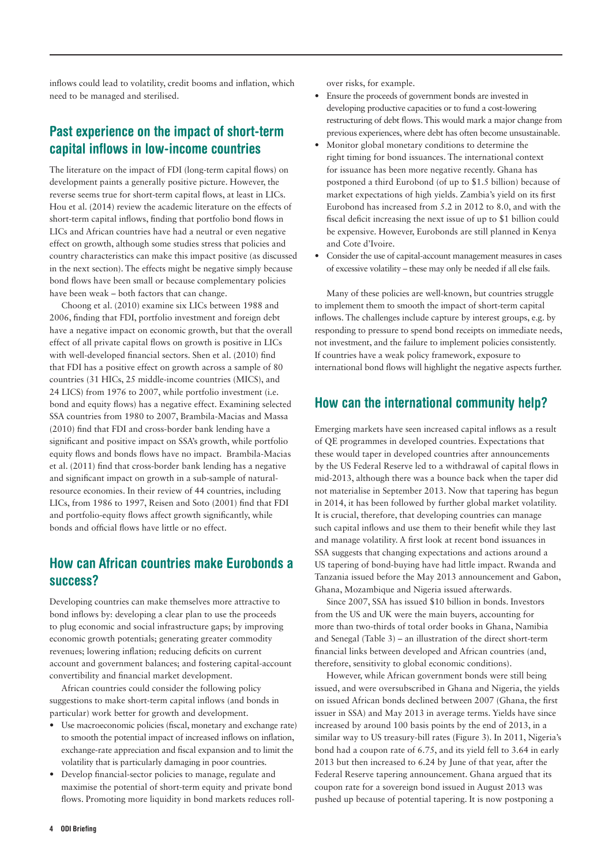inflows could lead to volatility, credit booms and inflation, which need to be managed and sterilised.

### Past experience on the impact of short-term capital inflows in low-income countries

The literature on the impact of FDI (long-term capital flows) on development paints a generally positive picture. However, the reverse seems true for short-term capital flows, at least in LICs. Hou et al. (2014) review the academic literature on the effects of short-term capital inflows, finding that portfolio bond flows in LICs and African countries have had a neutral or even negative effect on growth, although some studies stress that policies and country characteristics can make this impact positive (as discussed in the next section). The effects might be negative simply because bond flows have been small or because complementary policies have been weak – both factors that can change.

Choong et al. (2010) examine six LICs between 1988 and 2006, finding that FDI, portfolio investment and foreign debt have a negative impact on economic growth, but that the overall effect of all private capital flows on growth is positive in LICs with well-developed financial sectors. Shen et al. (2010) find that FDI has a positive effect on growth across a sample of 80 countries (31 HICs, 25 middle-income countries (MICS), and 24 LICS) from 1976 to 2007, while portfolio investment (i.e. bond and equity flows) has a negative effect. Examining selected SSA countries from 1980 to 2007, Brambila-Macias and Massa (2010) find that FDI and cross-border bank lending have a significant and positive impact on SSA's growth, while portfolio equity flows and bonds flows have no impact. Brambila-Macias et al. (2011) find that cross-border bank lending has a negative and significant impact on growth in a sub-sample of naturalresource economies. In their review of 44 countries, including LICs, from 1986 to 1997, Reisen and Soto (2001) find that FDI and portfolio-equity flows affect growth significantly, while bonds and official flows have little or no effect.

## How can African countries make Eurobonds a success?

Developing countries can make themselves more attractive to bond inflows by: developing a clear plan to use the proceeds to plug economic and social infrastructure gaps; by improving economic growth potentials; generating greater commodity revenues; lowering inflation; reducing deficits on current account and government balances; and fostering capital-account convertibility and financial market development.

African countries could consider the following policy suggestions to make short-term capital inflows (and bonds in particular) work better for growth and development.

- **•** Use macroeconomic policies (fiscal, monetary and exchange rate) to smooth the potential impact of increased inflows on inflation, exchange-rate appreciation and fiscal expansion and to limit the volatility that is particularly damaging in poor countries.
- **•** Develop financial-sector policies to manage, regulate and maximise the potential of short-term equity and private bond flows. Promoting more liquidity in bond markets reduces roll-

over risks, for example.

- **•** Ensure the proceeds of government bonds are invested in developing productive capacities or to fund a cost-lowering restructuring of debt flows. This would mark a major change from previous experiences, where debt has often become unsustainable.
- **•** Monitor global monetary conditions to determine the right timing for bond issuances. The international context for issuance has been more negative recently. Ghana has postponed a third Eurobond (of up to \$1.5 billion) because of market expectations of high yields. Zambia's yield on its first Eurobond has increased from 5.2 in 2012 to 8.0, and with the fiscal deficit increasing the next issue of up to \$1 billion could be expensive. However, Eurobonds are still planned in Kenya and Cote d'Ivoire.
- **•** Consider the use of capital-account management measures in cases of excessive volatility – these may only be needed if all else fails.

Many of these policies are well-known, but countries struggle to implement them to smooth the impact of short-term capital inflows. The challenges include capture by interest groups, e.g. by responding to pressure to spend bond receipts on immediate needs, not investment, and the failure to implement policies consistently. If countries have a weak policy framework, exposure to international bond flows will highlight the negative aspects further.

### How can the international community help?

Emerging markets have seen increased capital inflows as a result of QE programmes in developed countries. Expectations that these would taper in developed countries after announcements by the US Federal Reserve led to a withdrawal of capital flows in mid-2013, although there was a bounce back when the taper did not materialise in September 2013. Now that tapering has begun in 2014, it has been followed by further global market volatility. It is crucial, therefore, that developing countries can manage such capital inflows and use them to their benefit while they last and manage volatility. A first look at recent bond issuances in SSA suggests that changing expectations and actions around a US tapering of bond-buying have had little impact. Rwanda and Tanzania issued before the May 2013 announcement and Gabon, Ghana, Mozambique and Nigeria issued afterwards.

Since 2007, SSA has issued \$10 billion in bonds. Investors from the US and UK were the main buyers, accounting for more than two-thirds of total order books in Ghana, Namibia and Senegal (Table 3) – an illustration of the direct short-term financial links between developed and African countries (and, therefore, sensitivity to global economic conditions).

However, while African government bonds were still being issued, and were oversubscribed in Ghana and Nigeria, the [yields](http://www.ft.com/cms/s/0/f4196fc4-0b19-11e3-bffc-00144feabdc0.html)  [on issued African bonds declined between 2007 \(Ghana, the first](http://www.ft.com/cms/s/0/f4196fc4-0b19-11e3-bffc-00144feabdc0.html)  [issuer in SSA\) and May 2013 in average terms. Yields have since](http://www.ft.com/cms/s/0/f4196fc4-0b19-11e3-bffc-00144feabdc0.html)  [increased by around 100 basis points by the end of 2013, in a](http://www.ft.com/cms/s/0/f4196fc4-0b19-11e3-bffc-00144feabdc0.html)  [similar way to US treasury-bill rates \(Figure 3\). I](http://www.ft.com/cms/s/0/f4196fc4-0b19-11e3-bffc-00144feabdc0.html)n 2011, Nigeria's bond had a coupon rate of 6.75, and its yield fell to 3.64 in early 2013 but then increased to 6.24 by June of that year, after the Federal Reserve tapering announcement. Ghana argued that its coupon rate for a sovereign bond issued in August 2013 was pushed up because of potential tapering. It is now postponing a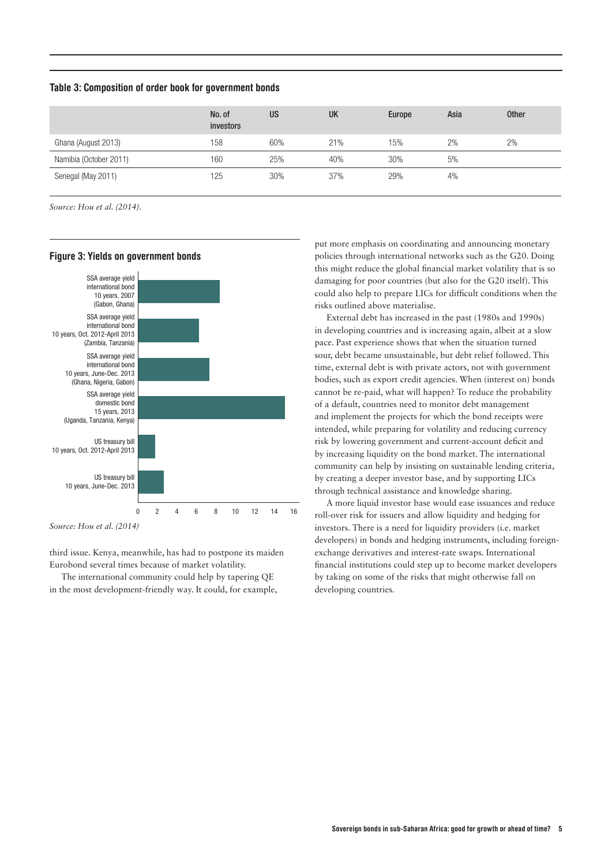Table 3: Composition of order book for government bonds

|                        | No. of<br>investors | <b>US</b> | <b>UK</b> | Europe | Asia | <b>Other</b> |
|------------------------|---------------------|-----------|-----------|--------|------|--------------|
| Ghana (August 2013)    | 158                 | 60%       | 21%       | 15%    | 2%   | 2%           |
| Namibia (October 2011) | 160                 | 25%       | 40%       | 30%    | 5%   |              |
| Senegal (May 2011)     | 125                 | 30%       | 37%       | 29%    | 4%   |              |

*Source: Hou et al. (2014).*



#### Figure 3: Yields on government bonds

*Source: Hou et al. (2014)*

third issue. Kenya, meanwhile, has had to postpone its maiden Eurobond several times because of market volatility.

The international community could help by tapering QE in the most development-friendly way. It could, for example, put more emphasis on coordinating and announcing monetary policies through international networks such as the G20. Doing this might reduce the global financial market volatility that is so damaging for poor countries (but also for the G20 itself). This could also help to prepare LICs for difficult conditions when the risks outlined above materialise.

External debt has increased in the past (1980s and 1990s) in developing countries and is increasing again, albeit at a slow pace. Past experience shows that when the situation turned sour, debt became unsustainable, but debt relief followed. This time, external debt is with private actors, not with government bodies, such as export credit agencies. When (interest on) bonds cannot be re-paid, what will happen? To reduce the probability of a default, countries need to monitor debt management and implement the projects for which the bond receipts were intended, while preparing for volatility and reducing currency risk by lowering government and current-account deficit and by increasing liquidity on the bond market. The international community can help by insisting on sustainable lending criteria, by creating a deeper investor base, and by supporting LICs through technical assistance and knowledge sharing.

A more liquid investor base would ease issuances and reduce roll-over risk for issuers and allow liquidity and hedging for investors. There is a need for liquidity providers (i.e. market developers) in bonds and hedging instruments, including foreignexchange derivatives and interest-rate swaps. International financial institutions could step up to become market developers by taking on some of the risks that might otherwise fall on developing countries.